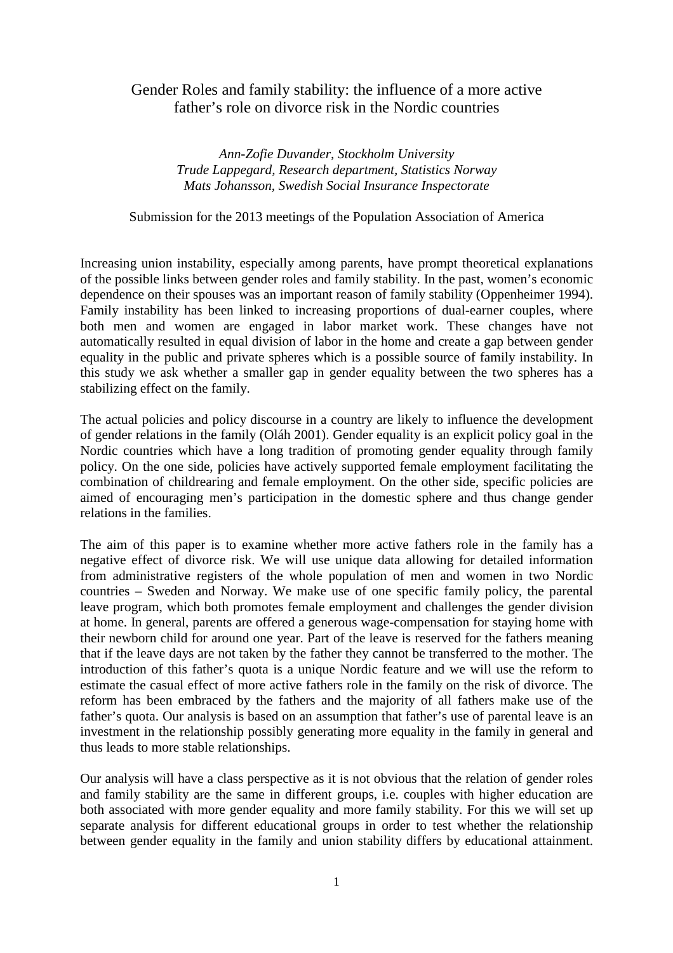# Gender Roles and family stability: the influence of a more active father's role on divorce risk in the Nordic countries

*Ann-Zofie Duvander, Stockholm University Trude Lappegard, Research department, Statistics Norway Mats Johansson, Swedish Social Insurance Inspectorate* 

Submission for the 2013 meetings of the Population Association of America

Increasing union instability, especially among parents, have prompt theoretical explanations of the possible links between gender roles and family stability. In the past, women's economic dependence on their spouses was an important reason of family stability (Oppenheimer 1994). Family instability has been linked to increasing proportions of dual-earner couples, where both men and women are engaged in labor market work. These changes have not automatically resulted in equal division of labor in the home and create a gap between gender equality in the public and private spheres which is a possible source of family instability. In this study we ask whether a smaller gap in gender equality between the two spheres has a stabilizing effect on the family.

The actual policies and policy discourse in a country are likely to influence the development of gender relations in the family (Oláh 2001). Gender equality is an explicit policy goal in the Nordic countries which have a long tradition of promoting gender equality through family policy. On the one side, policies have actively supported female employment facilitating the combination of childrearing and female employment. On the other side, specific policies are aimed of encouraging men's participation in the domestic sphere and thus change gender relations in the families.

The aim of this paper is to examine whether more active fathers role in the family has a negative effect of divorce risk. We will use unique data allowing for detailed information from administrative registers of the whole population of men and women in two Nordic countries – Sweden and Norway. We make use of one specific family policy, the parental leave program, which both promotes female employment and challenges the gender division at home. In general, parents are offered a generous wage-compensation for staying home with their newborn child for around one year. Part of the leave is reserved for the fathers meaning that if the leave days are not taken by the father they cannot be transferred to the mother. The introduction of this father's quota is a unique Nordic feature and we will use the reform to estimate the casual effect of more active fathers role in the family on the risk of divorce. The reform has been embraced by the fathers and the majority of all fathers make use of the father's quota. Our analysis is based on an assumption that father's use of parental leave is an investment in the relationship possibly generating more equality in the family in general and thus leads to more stable relationships.

Our analysis will have a class perspective as it is not obvious that the relation of gender roles and family stability are the same in different groups, i.e. couples with higher education are both associated with more gender equality and more family stability. For this we will set up separate analysis for different educational groups in order to test whether the relationship between gender equality in the family and union stability differs by educational attainment.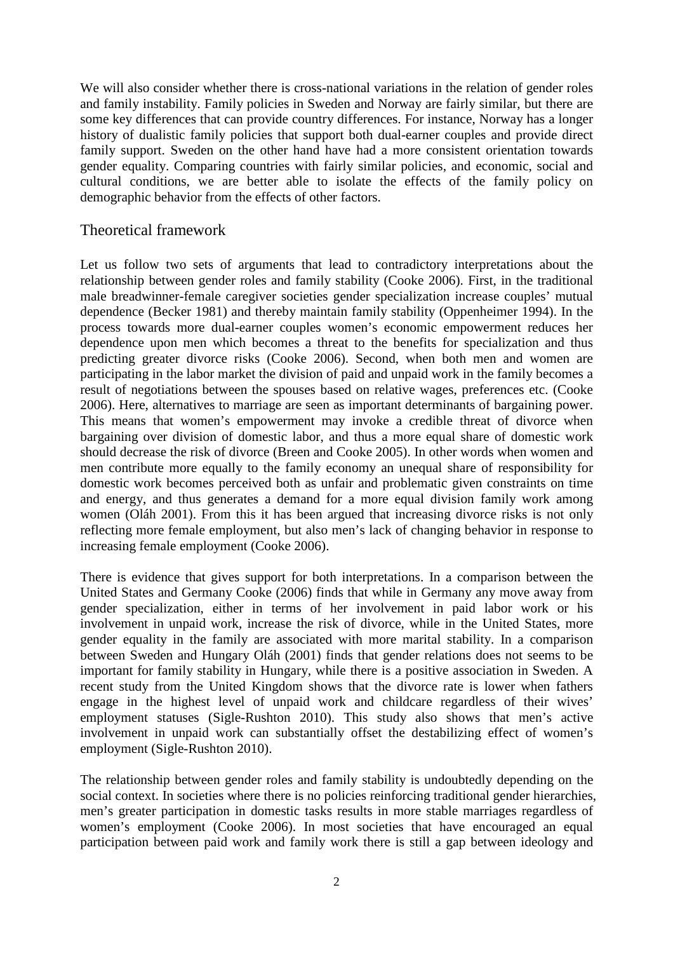We will also consider whether there is cross-national variations in the relation of gender roles and family instability. Family policies in Sweden and Norway are fairly similar, but there are some key differences that can provide country differences. For instance, Norway has a longer history of dualistic family policies that support both dual-earner couples and provide direct family support. Sweden on the other hand have had a more consistent orientation towards gender equality. Comparing countries with fairly similar policies, and economic, social and cultural conditions, we are better able to isolate the effects of the family policy on demographic behavior from the effects of other factors.

### Theoretical framework

Let us follow two sets of arguments that lead to contradictory interpretations about the relationship between gender roles and family stability (Cooke 2006). First, in the traditional male breadwinner-female caregiver societies gender specialization increase couples' mutual dependence (Becker 1981) and thereby maintain family stability (Oppenheimer 1994). In the process towards more dual-earner couples women's economic empowerment reduces her dependence upon men which becomes a threat to the benefits for specialization and thus predicting greater divorce risks (Cooke 2006). Second, when both men and women are participating in the labor market the division of paid and unpaid work in the family becomes a result of negotiations between the spouses based on relative wages, preferences etc. (Cooke 2006). Here, alternatives to marriage are seen as important determinants of bargaining power. This means that women's empowerment may invoke a credible threat of divorce when bargaining over division of domestic labor, and thus a more equal share of domestic work should decrease the risk of divorce (Breen and Cooke 2005). In other words when women and men contribute more equally to the family economy an unequal share of responsibility for domestic work becomes perceived both as unfair and problematic given constraints on time and energy, and thus generates a demand for a more equal division family work among women (Oláh 2001). From this it has been argued that increasing divorce risks is not only reflecting more female employment, but also men's lack of changing behavior in response to increasing female employment (Cooke 2006).

There is evidence that gives support for both interpretations. In a comparison between the United States and Germany Cooke (2006) finds that while in Germany any move away from gender specialization, either in terms of her involvement in paid labor work or his involvement in unpaid work, increase the risk of divorce, while in the United States, more gender equality in the family are associated with more marital stability. In a comparison between Sweden and Hungary Oláh (2001) finds that gender relations does not seems to be important for family stability in Hungary, while there is a positive association in Sweden. A recent study from the United Kingdom shows that the divorce rate is lower when fathers engage in the highest level of unpaid work and childcare regardless of their wives' employment statuses (Sigle-Rushton 2010). This study also shows that men's active involvement in unpaid work can substantially offset the destabilizing effect of women's employment (Sigle-Rushton 2010).

The relationship between gender roles and family stability is undoubtedly depending on the social context. In societies where there is no policies reinforcing traditional gender hierarchies, men's greater participation in domestic tasks results in more stable marriages regardless of women's employment (Cooke 2006). In most societies that have encouraged an equal participation between paid work and family work there is still a gap between ideology and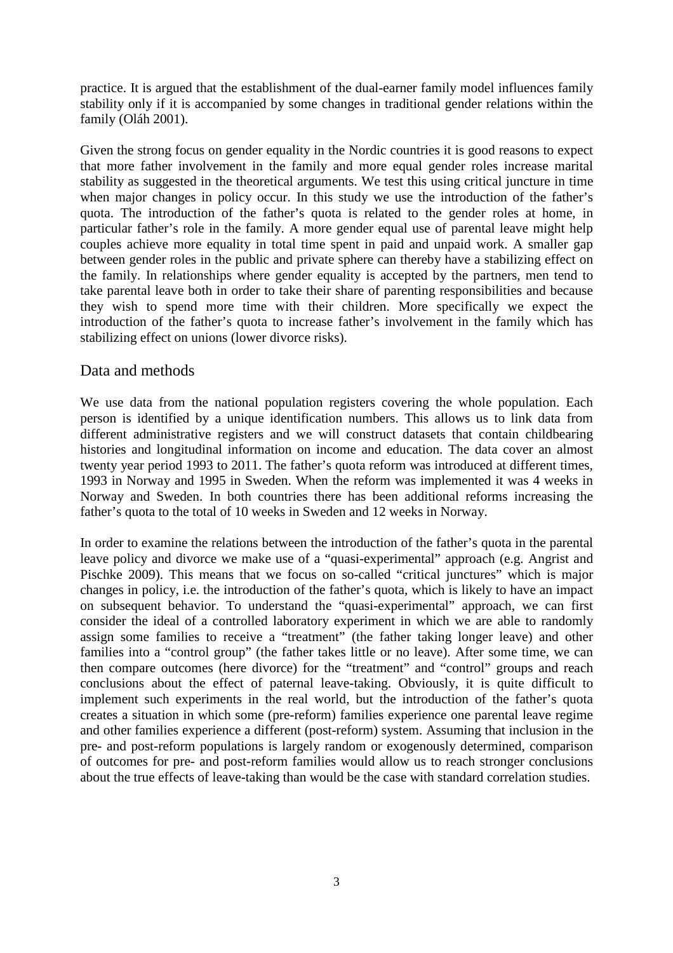practice. It is argued that the establishment of the dual-earner family model influences family stability only if it is accompanied by some changes in traditional gender relations within the family (Oláh 2001).

Given the strong focus on gender equality in the Nordic countries it is good reasons to expect that more father involvement in the family and more equal gender roles increase marital stability as suggested in the theoretical arguments. We test this using critical juncture in time when major changes in policy occur. In this study we use the introduction of the father's quota. The introduction of the father's quota is related to the gender roles at home, in particular father's role in the family. A more gender equal use of parental leave might help couples achieve more equality in total time spent in paid and unpaid work. A smaller gap between gender roles in the public and private sphere can thereby have a stabilizing effect on the family. In relationships where gender equality is accepted by the partners, men tend to take parental leave both in order to take their share of parenting responsibilities and because they wish to spend more time with their children. More specifically we expect the introduction of the father's quota to increase father's involvement in the family which has stabilizing effect on unions (lower divorce risks).

#### Data and methods

We use data from the national population registers covering the whole population. Each person is identified by a unique identification numbers. This allows us to link data from different administrative registers and we will construct datasets that contain childbearing histories and longitudinal information on income and education. The data cover an almost twenty year period 1993 to 2011. The father's quota reform was introduced at different times, 1993 in Norway and 1995 in Sweden. When the reform was implemented it was 4 weeks in Norway and Sweden. In both countries there has been additional reforms increasing the father's quota to the total of 10 weeks in Sweden and 12 weeks in Norway.

In order to examine the relations between the introduction of the father's quota in the parental leave policy and divorce we make use of a "quasi-experimental" approach (e.g. Angrist and Pischke 2009). This means that we focus on so-called "critical junctures" which is major changes in policy, i.e. the introduction of the father's quota, which is likely to have an impact on subsequent behavior. To understand the "quasi-experimental" approach, we can first consider the ideal of a controlled laboratory experiment in which we are able to randomly assign some families to receive a "treatment" (the father taking longer leave) and other families into a "control group" (the father takes little or no leave). After some time, we can then compare outcomes (here divorce) for the "treatment" and "control" groups and reach conclusions about the effect of paternal leave-taking. Obviously, it is quite difficult to implement such experiments in the real world, but the introduction of the father's quota creates a situation in which some (pre-reform) families experience one parental leave regime and other families experience a different (post-reform) system. Assuming that inclusion in the pre- and post-reform populations is largely random or exogenously determined, comparison of outcomes for pre- and post-reform families would allow us to reach stronger conclusions about the true effects of leave-taking than would be the case with standard correlation studies.